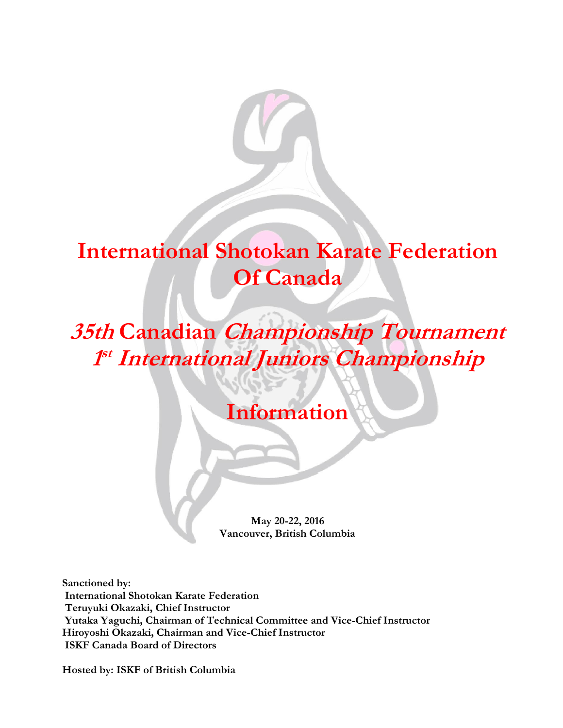

# **International Shotokan Karate Federation Of Canada**

**35th Canadian Championship Tournament 1 st International Juniors Championship**

## **Information**

**May 20-22, 2016 Vancouver, British Columbia**

**Sanctioned by: International Shotokan Karate Federation Teruyuki Okazaki, Chief Instructor Yutaka Yaguchi, Chairman of Technical Committee and Vice-Chief Instructor Hiroyoshi Okazaki, Chairman and Vice-Chief Instructor ISKF Canada Board of Directors**

**Hosted by: ISKF of British Columbia**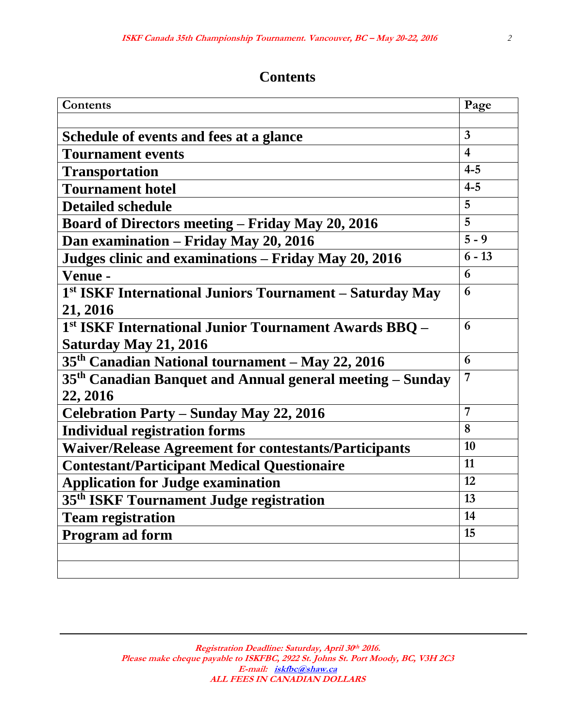## **Contents**

| Contents                                                              | Page           |
|-----------------------------------------------------------------------|----------------|
|                                                                       |                |
| Schedule of events and fees at a glance                               | $\overline{3}$ |
| <b>Tournament events</b>                                              | $\overline{4}$ |
| <b>Transportation</b>                                                 | $4 - 5$        |
| <b>Tournament hotel</b>                                               | $4 - 5$        |
| <b>Detailed schedule</b>                                              | 5              |
| <b>Board of Directors meeting – Friday May 20, 2016</b>               | 5              |
| Dan examination – Friday May 20, 2016                                 | $5 - 9$        |
| Judges clinic and examinations – Friday May 20, 2016                  | $6 - 13$       |
| Venue -                                                               | 6              |
| 1st ISKF International Juniors Tournament - Saturday May              | 6              |
| 21, 2016                                                              |                |
| <sup>1st</sup> ISKF International Junior Tournament Awards BBQ -      | 6              |
| Saturday May 21, 2016                                                 |                |
| 35 <sup>th</sup> Canadian National tournament – May 22, 2016          | 6              |
| 35 <sup>th</sup> Canadian Banquet and Annual general meeting – Sunday | 7              |
| 22, 2016                                                              |                |
| <b>Celebration Party - Sunday May 22, 2016</b>                        | 7              |
| <b>Individual registration forms</b>                                  | 8              |
| <b>Waiver/Release Agreement for contestants/Participants</b>          | 10             |
| <b>Contestant/Participant Medical Questionaire</b>                    | 11             |
| <b>Application for Judge examination</b>                              | 12             |
| 35 <sup>th</sup> ISKF Tournament Judge registration                   | 13             |
| <b>Team registration</b>                                              | 14             |
| Program ad form                                                       | 15             |
|                                                                       |                |
|                                                                       |                |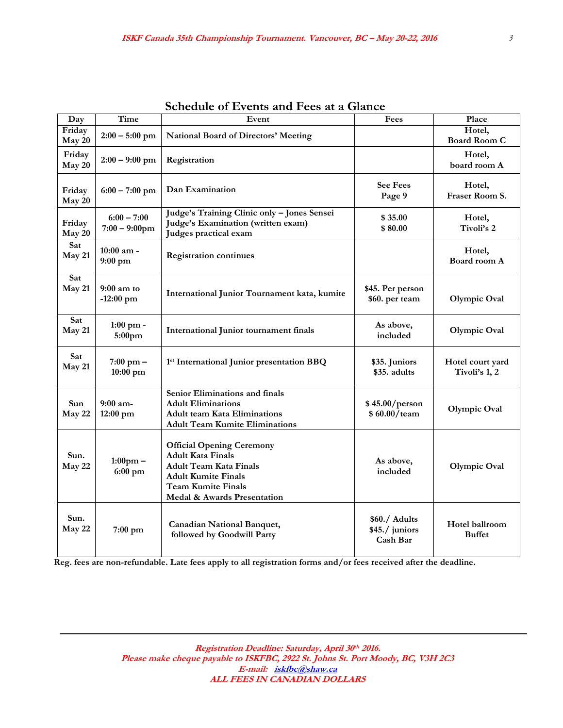| Day              | Time                              | Event                                                                                                                                                                                   | Fees                                        | Place                             |
|------------------|-----------------------------------|-----------------------------------------------------------------------------------------------------------------------------------------------------------------------------------------|---------------------------------------------|-----------------------------------|
| Friday<br>May 20 | $2:00 - 5:00$ pm                  | <b>National Board of Directors' Meeting</b>                                                                                                                                             |                                             | Hotel,<br><b>Board Room C</b>     |
| Friday<br>May 20 | $2:00 - 9:00$ pm                  | Registration                                                                                                                                                                            |                                             | Hotel,<br>board room A            |
| Friday<br>May 20 | $6:00 - 7:00$ pm                  | Dan Examination                                                                                                                                                                         | <b>See Fees</b><br>Page 9                   | Hotel,<br>Fraser Room S.          |
| Friday<br>May 20 | $6:00 - 7:00$<br>$7:00 - 9:00$ pm | Judge's Training Clinic only - Jones Sensei<br>Judge's Examination (written exam)<br>Judges practical exam                                                                              | \$35.00<br>\$80.00                          | Hotel,<br>Tivoli's 2              |
| Sat<br>May 21    | 10:00 am -<br>$9:00$ pm           | <b>Registration continues</b>                                                                                                                                                           |                                             | Hotel,<br>Board room A            |
| Sat<br>May 21    | $9:00$ am to<br>$-12:00$ pm       | International Junior Tournament kata, kumite                                                                                                                                            | \$45. Per person<br>\$60. per team          | Olympic Oval                      |
| Sat<br>May 21    | 1:00 pm -<br>5:00pm               | <b>International Junior tournament finals</b>                                                                                                                                           | As above,<br>included                       | Olympic Oval                      |
| Sat<br>May 21    | $7:00 \text{ pm} -$<br>10:00 pm   | 1st International Junior presentation BBQ                                                                                                                                               | \$35. Juniors<br>\$35. adults               | Hotel court yard<br>Tivoli's 1, 2 |
| Sun<br>May 22    | $9:00$ am-<br>12:00 pm            | Senior Eliminations and finals<br><b>Adult Eliminations</b><br><b>Adult team Kata Eliminations</b><br><b>Adult Team Kumite Eliminations</b>                                             | \$45.00/person<br>\$60.00/team              | Olympic Oval                      |
| Sun.<br>May 22   | $1:00 \text{pm} -$<br>$6:00$ pm   | <b>Official Opening Ceremony</b><br><b>Adult Kata Finals</b><br><b>Adult Team Kata Finals</b><br><b>Adult Kumite Finals</b><br><b>Team Kumite Finals</b><br>Medal & Awards Presentation | As above,<br>included                       | Olympic Oval                      |
| Sun.<br>May 22   | 7:00 pm                           | <b>Canadian National Banquet,</b><br>followed by Goodwill Party                                                                                                                         | \$60./ Adults<br>\$45./ juniors<br>Cash Bar | Hotel ballroom<br><b>Buffet</b>   |

|  | <b>Schedule of Events and Fees at a Glance</b> |  |  |
|--|------------------------------------------------|--|--|
|  |                                                |  |  |

 **Reg. fees are non-refundable. Late fees apply to all registration forms and/or fees received after the deadline.**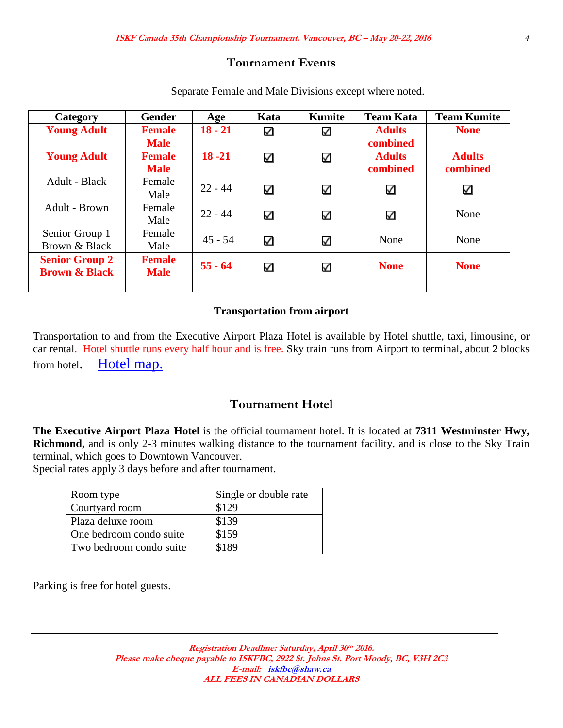#### **Tournament Events**

| Category                 | <b>Gender</b> | Age       | Kata | Kumite | <b>Team Kata</b> | <b>Team Kumite</b> |
|--------------------------|---------------|-----------|------|--------|------------------|--------------------|
| <b>Young Adult</b>       | <b>Female</b> | $18 - 21$ | ✓    | ✓      | <b>Adults</b>    | <b>None</b>        |
|                          | <b>Male</b>   |           |      |        | combined         |                    |
| <b>Young Adult</b>       | <b>Female</b> | $18 - 21$ | ✓    | ✓      | <b>Adults</b>    | <b>Adults</b>      |
|                          | <b>Male</b>   |           |      |        | combined         | combined           |
| Adult - Black            | Female        | $22 - 44$ |      |        |                  |                    |
|                          | Male          |           | ✓    | ☑      | ⊻                | ☑                  |
| Adult - Brown            | Female        | $22 - 44$ |      |        |                  | None               |
|                          | Male          |           | ✓    | ☑      | ☑                |                    |
| Senior Group 1           | Female        | $45 - 54$ |      |        | None             | None               |
| Brown & Black            | Male          |           | ✓    | ☑      |                  |                    |
| <b>Senior Group 2</b>    | <b>Female</b> |           |      |        |                  |                    |
| <b>Brown &amp; Black</b> | <b>Male</b>   | $55 - 64$ | ✓    | ✓      | <b>None</b>      | <b>None</b>        |
|                          |               |           |      |        |                  |                    |

Separate Female and Male Divisions except where noted.

#### **Transportation from airport**

Transportation to and from the Executive Airport Plaza Hotel is available by Hotel shuttle, taxi, limousine, or car rental. Hotel shuttle runs every half hour and is free. Sky train runs from Airport to terminal, about 2 blocks from hotel. [Hotel map.](https://www.google.com/maps/place/7311+Westminster+Hwy,+Richmond,+BC+V6X+1A3,+Canada/@49.170355,-123.145113,15z/data=!4m2!3m1!1s0x54860acdca76b2b1:0x52699c71aa90e49?hl=en)

#### **Tournament Hotel**

**The Executive Airport Plaza Hotel** is the official tournament hotel. It is located at **7311 Westminster Hwy, Richmond,** and is only 2-3 minutes walking distance to the tournament facility, and is close to the Sky Train terminal, which goes to Downtown Vancouver.

Special rates apply 3 days before and after tournament.

| Room type               | Single or double rate |
|-------------------------|-----------------------|
| Courtyard room          | \$129                 |
| Plaza deluxe room       | \$139                 |
| One bedroom condo suite | \$159                 |
| Two bedroom condo suite | \$189                 |

Parking is free for hotel guests.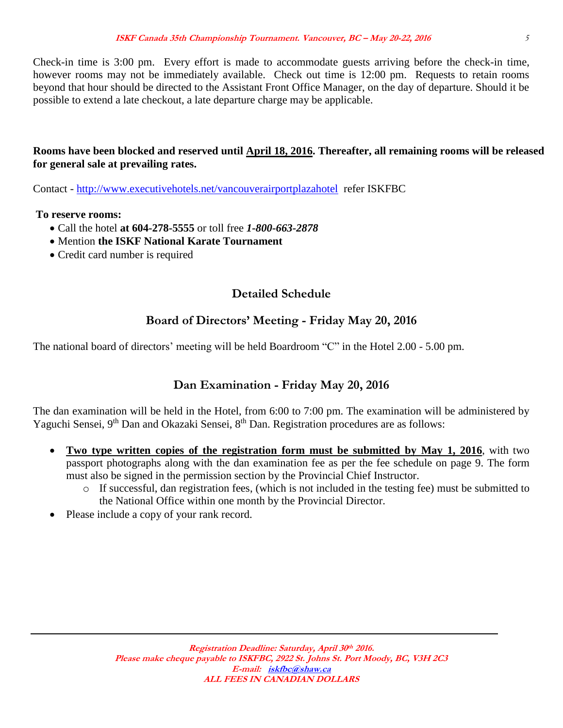Check-in time is 3:00 pm. Every effort is made to accommodate guests arriving before the check-in time, however rooms may not be immediately available. Check out time is 12:00 pm. Requests to retain rooms beyond that hour should be directed to the Assistant Front Office Manager, on the day of departure. Should it be possible to extend a late checkout, a late departure charge may be applicable.

#### **Rooms have been blocked and reserved until April 18, 2016. Thereafter, all remaining rooms will be released for general sale at prevailing rates.**

Contact - <http://www.executivehotels.net/vancouverairportplazahotel>refer ISKFBC

**To reserve rooms:** 

- Call the hotel **at 604-278-5555** or toll free *1-800-663-2878*
- Mention **the ISKF National Karate Tournament**
- Credit card number is required

## **Detailed Schedule**

## **Board of Directors' Meeting - Friday May 20, 2016**

The national board of directors' meeting will be held Boardroom "C" in the Hotel 2.00 - 5.00 pm.

## **Dan Examination - Friday May 20, 2016**

The dan examination will be held in the Hotel, from 6:00 to 7:00 pm. The examination will be administered by Yaguchi Sensei, 9<sup>th</sup> Dan and Okazaki Sensei, 8<sup>th</sup> Dan. Registration procedures are as follows:

- **Two type written copies of the registration form must be submitted by May 1, 2016**, with two passport photographs along with the dan examination fee as per the fee schedule on page 9. The form must also be signed in the permission section by the Provincial Chief Instructor.
	- o If successful, dan registration fees, (which is not included in the testing fee) must be submitted to the National Office within one month by the Provincial Director.
- Please include a copy of your rank record.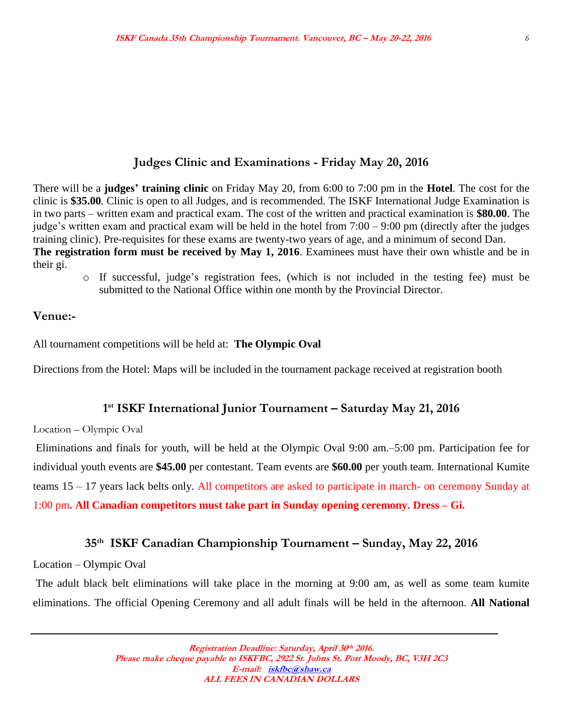#### **Judges Clinic and Examinations - Friday May 20, 2016**

There will be a **judges' training clinic** on Friday May 20, from 6:00 to 7:00 pm in the **Hotel**. The cost for the clinic is **\$35.00**. Clinic is open to all Judges, and is recommended. The ISKF International Judge Examination is in two parts – written exam and practical exam. The cost of the written and practical examination is **\$80.00**. The judge's written exam and practical exam will be held in the hotel from 7:00 – 9:00 pm (directly after the judges training clinic). Pre-requisites for these exams are twenty-two years of age, and a minimum of second Dan. **The registration form must be received by May 1, 2016**. Examinees must have their own whistle and be in their gi.

o If successful, judge's registration fees, (which is not included in the testing fee) must be submitted to the National Office within one month by the Provincial Director.

#### **Venue:-**

All tournament competitions will be held at: **The Olympic Oval**

Directions from the Hotel: Maps will be included in the tournament package received at registration booth

#### **1 st ISKF International Junior Tournament – Saturday May 21, 2016**

Location – Olympic Oval

Eliminations and finals for youth, will be held at the Olympic Oval 9:00 am.–5:00 pm. Participation fee for individual youth events are **\$45.00** per contestant. Team events are **\$60.00** per youth team. International Kumite teams 15 – 17 years lack belts only. All competitors are asked to participate in march- on ceremony Sunday at 1:00 pm**. All Canadian competitors must take part in Sunday opening ceremony. Dress – Gi.**

#### **35 th ISKF Canadian Championship Tournament – Sunday, May 22, 2016**

Location – Olympic Oval

The adult black belt eliminations will take place in the morning at 9:00 am, as well as some team kumite eliminations. The official Opening Ceremony and all adult finals will be held in the afternoon. **All National**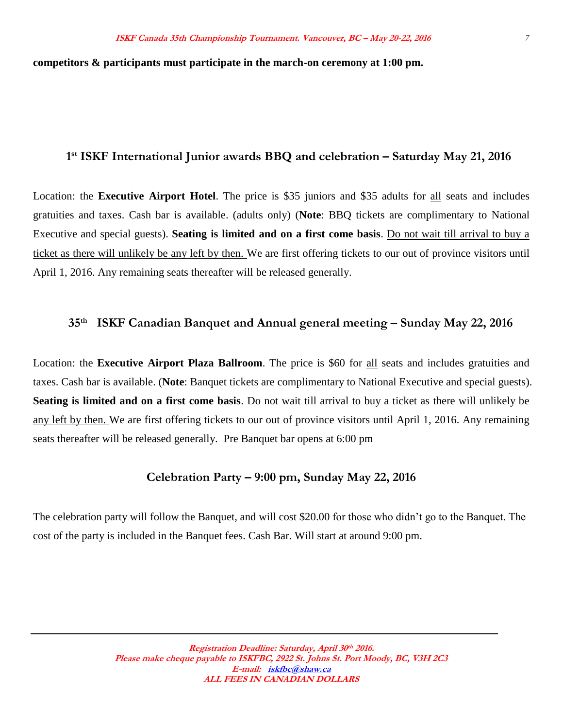#### **competitors & participants must participate in the march-on ceremony at 1:00 pm.**

#### **1 st ISKF International Junior awards BBQ and celebration – Saturday May 21, 2016**

Location: the **Executive Airport Hotel**. The price is \$35 juniors and \$35 adults for all seats and includes gratuities and taxes. Cash bar is available. (adults only) (**Note**: BBQ tickets are complimentary to National Executive and special guests). **Seating is limited and on a first come basis**. Do not wait till arrival to buy a ticket as there will unlikely be any left by then. We are first offering tickets to our out of province visitors until April 1, 2016. Any remaining seats thereafter will be released generally.

#### **35 th ISKF Canadian Banquet and Annual general meeting – Sunday May 22, 2016**

Location: the **Executive Airport Plaza Ballroom**. The price is \$60 for all seats and includes gratuities and taxes. Cash bar is available. (**Note**: Banquet tickets are complimentary to National Executive and special guests). **Seating is limited and on a first come basis**. Do not wait till arrival to buy a ticket as there will unlikely be any left by then. We are first offering tickets to our out of province visitors until April 1, 2016. Any remaining seats thereafter will be released generally. Pre Banquet bar opens at 6:00 pm

## **Celebration Party – 9:00 pm, Sunday May 22, 2016**

The celebration party will follow the Banquet, and will cost \$20.00 for those who didn't go to the Banquet. The cost of the party is included in the Banquet fees. Cash Bar. Will start at around 9:00 pm.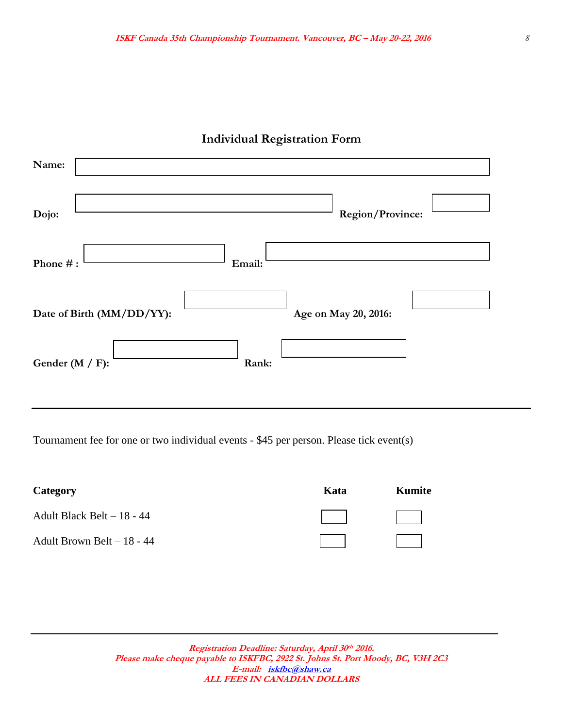| Name:                     |                      |  |
|---------------------------|----------------------|--|
| Dojo:                     | Region/Province:     |  |
| Phone #:                  | Email:               |  |
| Date of Birth (MM/DD/YY): | Age on May 20, 2016: |  |
| Gender ( $M / F$ ):       | Rank:                |  |

## **Individual Registration Form**

Tournament fee for one or two individual events - \$45 per person. Please tick event(s)

| Category                   | Kata | Kumite                   |
|----------------------------|------|--------------------------|
| Adult Black Belt – 18 - 44 |      | the property of the con- |
| Adult Brown Belt - 18 - 44 |      |                          |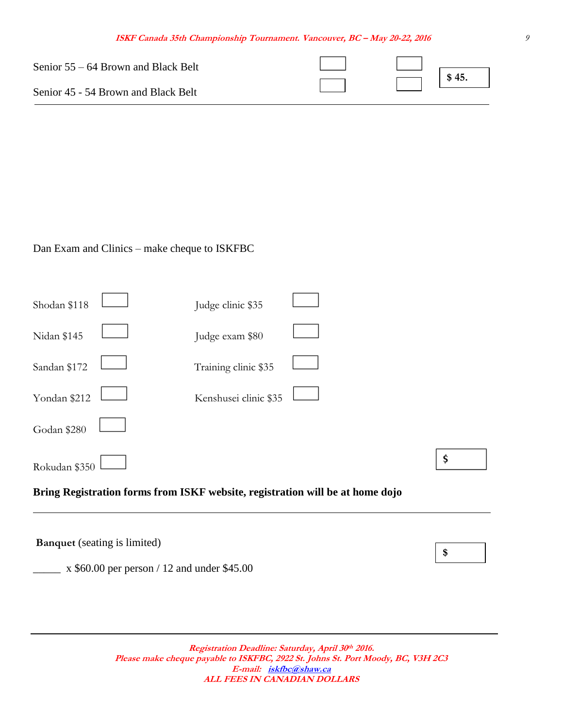| Senior $55 - 64$ Brown and Black Belt |  |                   |
|---------------------------------------|--|-------------------|
| Senior 45 - 54 Brown and Black Belt   |  | $^{\prime}$ \$45. |

Dan Exam and Clinics – make cheque to ISKFBC

|               | <b>Banquet</b> (seating is limited) |                       |                                                                               | \$ |
|---------------|-------------------------------------|-----------------------|-------------------------------------------------------------------------------|----|
|               |                                     |                       | Bring Registration forms from ISKF website, registration will be at home dojo |    |
| Rokudan \$350 |                                     |                       |                                                                               | \$ |
| Godan \$280   |                                     |                       |                                                                               |    |
| Yondan \$212  |                                     | Kenshusei clinic \$35 |                                                                               |    |
| Sandan \$172  |                                     | Training clinic \$35  |                                                                               |    |
| Nidan \$145   |                                     | Judge exam \$80       |                                                                               |    |
| Shodan \$118  |                                     | Judge clinic \$35     |                                                                               |    |

 $\mu$  x \$60.00 per person / 12 and under \$45.00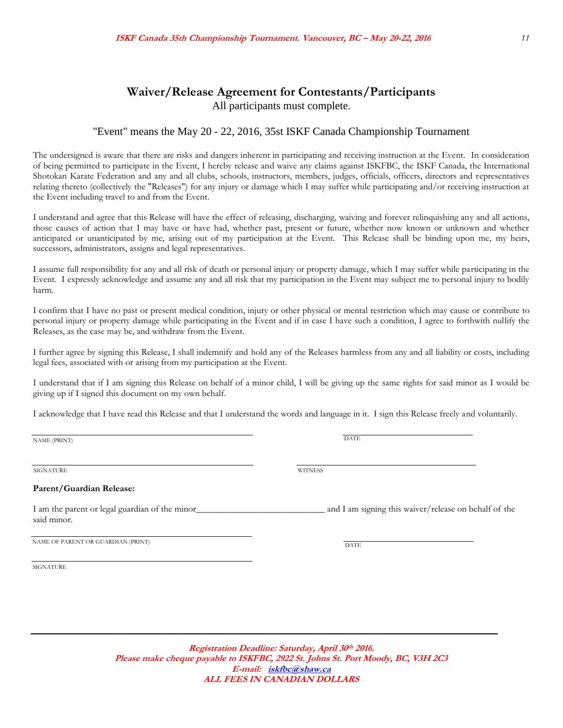#### **Waiver/Release Agreement for Contestants/Participants** All participants must complete.

#### "Event" means the May 20 - 22, 2016, 35st ISKF Canada Championship Tournament

The undersigned is aware that there are risks and dangers inherent in participating and receiving instruction at the Event. In consideration of being permitted to participate in the Event, I hereby release and waive any claims against ISKFBC, the ISKF Canada, the International Shotokan Karate Federation and any and all clubs, schools, instructors, members, judges, officials, officers, directors and representatives relating thereto (collectively the "Releases") for any injury or damage which I may suffer while participating and/or receiving instruction at the Event including travel to and from the Event.

I understand and agree that this Release will have the effect of releasing, discharging, waiving and forever relinquishing any and all actions, those causes of action that I may have or have had, whether past, present or future, whether now known or unknown and whether anticipated or unanticipated by me, arising out of my participation at the Event. This Release shall be binding upon me, my heirs, successors, administrators, assigns and legal representatives.

I assume full responsibility for any and all risk of death or personal injury or property damage, which I may suffer while participating in the Event. I expressly acknowledge and assume any and all risk that my participation in the Event may subject me to personal injury to bodily harm.

I confirm that I have no past or present medical condition, injury or other physical or mental restriction which may cause or contribute to personal injury or property damage while participating in the Event and if in case I have such a condition, I agree to forthwith nullify the Releases, as the case may be, and withdraw from the Event.

I further agree by signing this Release, I shall indemnify and hold any of the Releases harmless from any and all liability or costs, including legal fees, associated with or arising from my participation at the Event.

I understand that if I am signing this Release on behalf of a minor child, I will be giving up the same rights for said minor as I would be giving up if I signed this document on my own behalf.

I acknowledge that I have read this Release and that I understand the words and language in it. I sign this Release freely and voluntarily.

NAME (PRINT) DATE

SIGNATURE WITNESS

#### **Parent/Guardian Release:**

I am the parent or legal guardian of the minor\_\_\_\_\_\_\_\_\_\_\_\_\_\_\_\_\_\_\_\_\_\_\_\_\_\_\_\_ and I am signing this waiver/release on behalf of the said minor.

NAME OF PARENT OR GUARDIAN (PRINT)

SIGNATURE

**Registration Deadline: Saturday, April 30 th 2016. Please make cheque payable to ISKFBC, 2922 St. Johns St. Port Moody, BC, V3H 2C3 E-mail: [iskfbc@shaw.ca](mailto:iskfbc@shaw.ca) ALL FEES IN CANADIAN DOLLARS**

**DATE**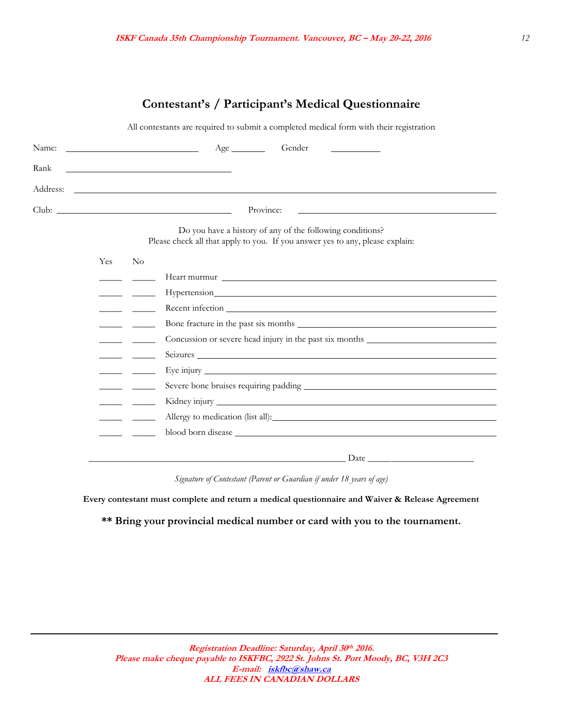## **Contestant's / Participant's Medical Questionnaire**

All contestants are required to submit a completed medical form with their registration

|      |     | Gender                                                                                                                                                                                                                               |
|------|-----|--------------------------------------------------------------------------------------------------------------------------------------------------------------------------------------------------------------------------------------|
| Rank |     | <u> The Communication of the Communication of the Communication of the Communication of the Communication of</u>                                                                                                                     |
|      |     | Address: <u>the contract of the contract of the contract of the contract of the contract of the contract of the contract of the contract of the contract of the contract of the contract of the contract of the contract of the </u> |
|      |     | Province:<br><u> 1989 - Johann Stoff, amerikansk politiker (d. 1989)</u>                                                                                                                                                             |
|      |     | Do you have a history of any of the following conditions?<br>Please check all that apply to you. If you answer yes to any, please explain:                                                                                           |
|      | Yes | No                                                                                                                                                                                                                                   |
|      |     |                                                                                                                                                                                                                                      |
|      |     |                                                                                                                                                                                                                                      |
|      |     |                                                                                                                                                                                                                                      |
|      |     | Bone fracture in the past six months                                                                                                                                                                                                 |
|      |     | Concussion or severe head injury in the past six months                                                                                                                                                                              |
|      |     | Seizures                                                                                                                                                                                                                             |
|      |     |                                                                                                                                                                                                                                      |
|      |     |                                                                                                                                                                                                                                      |
|      |     |                                                                                                                                                                                                                                      |
|      |     |                                                                                                                                                                                                                                      |
|      |     |                                                                                                                                                                                                                                      |
|      |     | <u> 1980 - Johann Barbara, martin amerikan bashkar (</u>                                                                                                                                                                             |
|      |     |                                                                                                                                                                                                                                      |

*Signature of Contestant (Parent or Guardian if under 18 years of age)*

**Every contestant must complete and return a medical questionnaire and Waiver & Release Agreement**

**\*\* Bring your provincial medical number or card with you to the tournament.**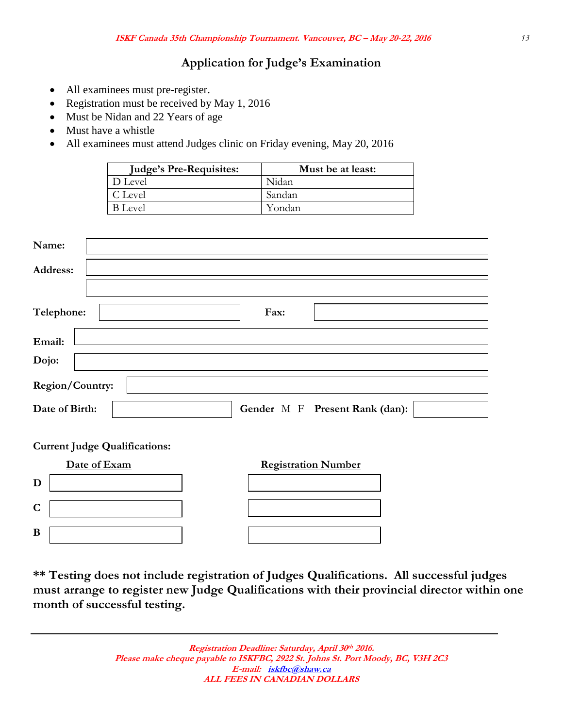## **Application for Judge's Examination**

- All examinees must pre-register.
- Registration must be received by May 1, 2016
- Must be Nidan and 22 Years of age
- Must have a whistle
- All examinees must attend Judges clinic on Friday evening, May 20, 2016

| <b>Judge's Pre-Requisites:</b> | Must be at least: |
|--------------------------------|-------------------|
| D Level                        | Nidan             |
| C Level                        | Sandan            |
| B Level                        | Yondan            |

| Name:           |                                |
|-----------------|--------------------------------|
| Address:        |                                |
|                 |                                |
| Telephone:      | Fax:                           |
| Email:          |                                |
| Dojo:           |                                |
| Region/Country: |                                |
| Date of Birth:  | Gender M F Present Rank (dan): |

**Current Judge Qualifications:**

|   | Date of Exam | <b>Registration Number</b> |
|---|--------------|----------------------------|
| D |              |                            |
| C |              |                            |
| B |              |                            |

**\*\* Testing does not include registration of Judges Qualifications. All successful judges must arrange to register new Judge Qualifications with their provincial director within one month of successful testing.**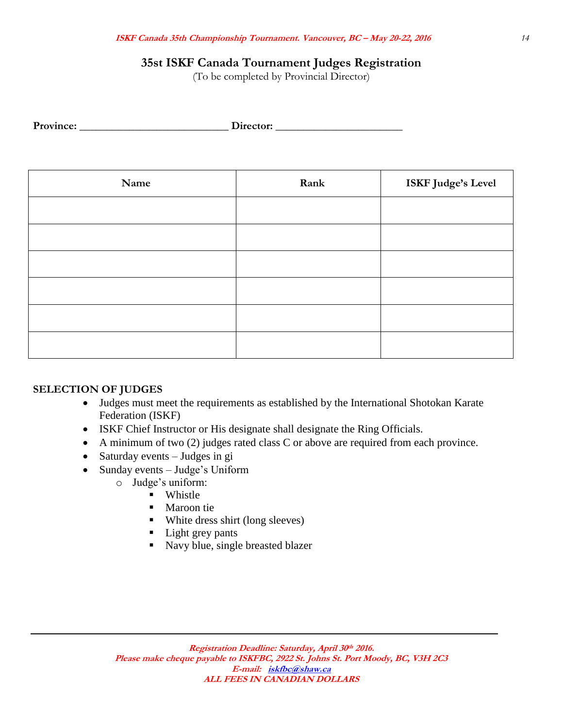## **35st ISKF Canada Tournament Judges Registration**

(To be completed by Provincial Director)

| Name | Rank | ISKF Judge's Level |
|------|------|--------------------|
|      |      |                    |
|      |      |                    |
|      |      |                    |
|      |      |                    |
|      |      |                    |
|      |      |                    |

#### **SELECTION OF JUDGES**

- Judges must meet the requirements as established by the International Shotokan Karate Federation (ISKF)
- ISKF Chief Instructor or His designate shall designate the Ring Officials.
- A minimum of two (2) judges rated class C or above are required from each province.
- Saturday events  $-$  Judges in gi
- Sunday events Judge's Uniform
	- o Judge's uniform:
		- **Whistle** 
			- Maroon tie
			- White dress shirt (long sleeves)
			- Light grey pants
			- Navy blue, single breasted blazer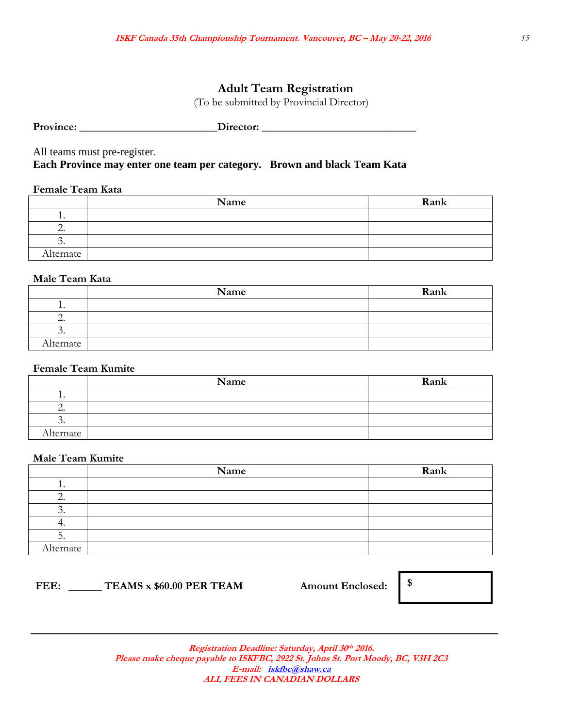## **Adult Team Registration**

(To be submitted by Provincial Director)

|  | Province: | Director: |
|--|-----------|-----------|
|--|-----------|-----------|

All teams must pre-register.

**Each Province may enter one team per category. Brown and black Team Kata**

#### **Female Team Kata**

|                          | Name | Rank |
|--------------------------|------|------|
| . .                      |      |      |
| $\overline{\phantom{a}}$ |      |      |
|                          |      |      |
| Alternate                |      |      |

#### **Male Team Kata**

|           | Name | Rank |
|-----------|------|------|
| . .       |      |      |
|           |      |      |
| $\cdot$   |      |      |
| Alternate |      |      |

#### **Female Team Kumite**

|                          | Name | Rank |
|--------------------------|------|------|
| . .                      |      |      |
| $\overline{\phantom{a}}$ |      |      |
| $\check{ }$ .            |      |      |
| Alternate                |      |      |

#### **Male Team Kumite**

|           | Name | Rank |
|-----------|------|------|
| . .       |      |      |
| ۷.        |      |      |
| ◡.        |      |      |
| . .       |      |      |
| J.        |      |      |
| Alternate |      |      |

## **FEE: TEAMS x \$60.00 PER TEAM Amount Enclosed: \$**